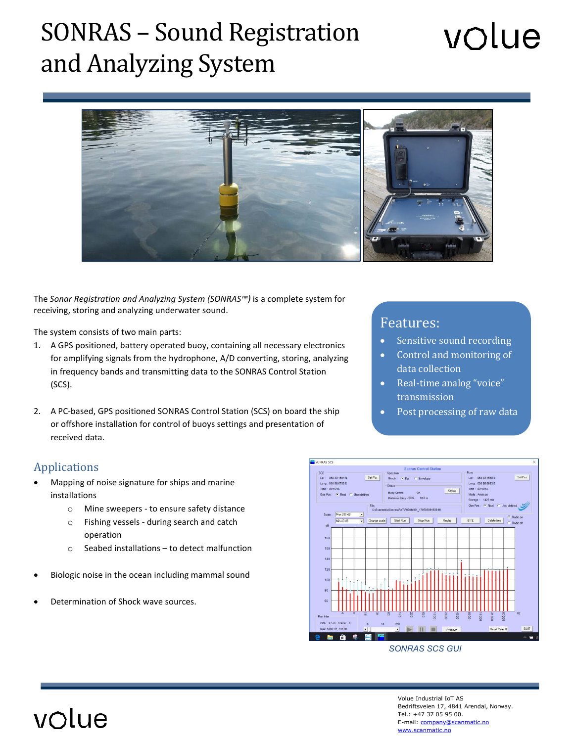### SONRAS – Sound Registration and Analyzing System

# volue



The *Sonar Registration and Analyzing System (SONRAS™)* is a complete system for receiving, storing and analyzing underwater sound.

The system consists of two main parts:

- 1. A GPS positioned, battery operated buoy, containing all necessary electronics for amplifying signals from the hydrophone, A/D converting, storing, analyzing in frequency bands and transmitting data to the SONRAS Control Station (SCS).
- 2. A PC-based, GPS positioned SONRAS Control Station (SCS) on board the ship or offshore installation for control of buoys settings and presentation of received data.

#### Applications

- Mapping of noise signature for ships and marine installations
	- o Mine sweepers to ensure safety distance
	- o Fishing vessels during search and catch operation
	- o Seabed installations to detect malfunction
- Biologic noise in the ocean including mammal sound
- Determination of Shock wave sources.

#### Features:

- Sensitive sound recording
- Control and monitoring of data collection
- Real-time analog "voice" transmission
- Post processing of raw data



 *SONRAS SCS GUI*

Volue Industrial IoT AS Bedriftsveien 17, 4841 Arendal, Norway. Tel.: +47 37 05 95 00. E-mail[: company@scanmatic.no](mailto:company@scanmatic.no) [www.scanmatic.no](file://smax3/smpublic/DataBlad/Interne/Acoustic%20Mooring%20Line%20Monitoring/www.scanmatic.no)

### volue